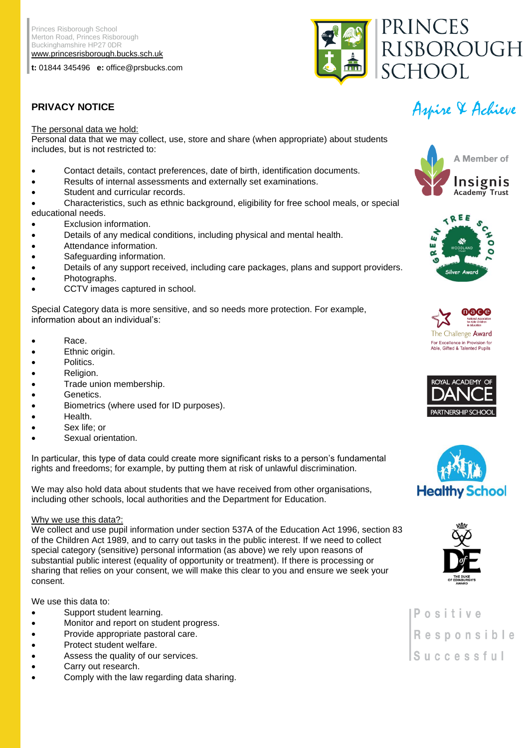Princes Risborough School Merton Road, Princes Risborough Buckinghamshire HP27 0DR [www.princesrisborough.bucks.sch.uk](http://www.princesrisborough.bucks.sch.uk/)

**t:** 01844 345496 **e:** office@prsbucks.com



# The personal data we hold:

Personal data that we may collect, use, store and share (when appropriate) about students includes, but is not restricted to:

- Contact details, contact preferences, date of birth, identification documents.
- Results of internal assessments and externally set examinations.
- Student and curricular records.

• Characteristics, such as ethnic background, eligibility for free school meals, or special educational needs.

- Exclusion information.
- Details of any medical conditions, including physical and mental health.
- Attendance information.
- Safeguarding information.
- Details of any support received, including care packages, plans and support providers.
- Photographs.
- CCTV images captured in school.

Special Category data is more sensitive, and so needs more protection. For example, information about an individual's:

- Race.
- Ethnic origin.
- Politics.
- Religion.
- Trade union membership.
- Genetics.
- Biometrics (where used for ID purposes).
- Health.
- Sex life; or
- Sexual orientation.

In particular, this type of data could create more significant risks to a person's fundamental rights and freedoms; for example, by putting them at risk of unlawful discrimination.

We may also hold data about students that we have received from other organisations, including other schools, local authorities and the Department for Education.

#### Why we use this data?:

We collect and use pupil information under section 537A of the Education Act 1996, section 83 of the Children Act 1989, and to carry out tasks in the public interest. If we need to collect special category (sensitive) personal information (as above) we rely upon reasons of substantial public interest (equality of opportunity or treatment). If there is processing or sharing that relies on your consent, we will make this clear to you and ensure we seek your consent.

We use this data to:

- Support student learning.
- Monitor and report on student progress.
- Provide appropriate pastoral care.
- Protect student welfare.
- Assess the quality of our services.
- Carry out research.
- Comply with the law regarding data sharing.

# Aspire & Achieve **PRIVACY NOTICE**













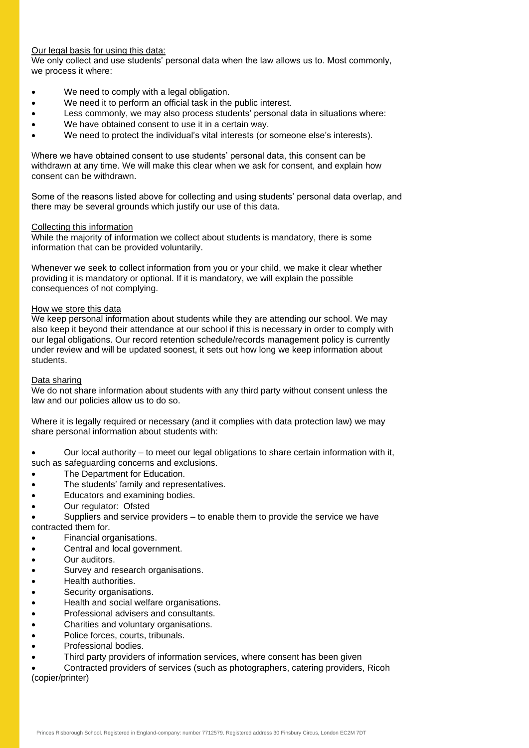# Our legal basis for using this data:

We only collect and use students' personal data when the law allows us to. Most commonly, we process it where:

- We need to comply with a legal obligation.
- We need it to perform an official task in the public interest.
- Less commonly, we may also process students' personal data in situations where:
- We have obtained consent to use it in a certain way.
- We need to protect the individual's vital interests (or someone else's interests).

Where we have obtained consent to use students' personal data, this consent can be withdrawn at any time. We will make this clear when we ask for consent, and explain how consent can be withdrawn.

Some of the reasons listed above for collecting and using students' personal data overlap, and there may be several grounds which justify our use of this data.

#### Collecting this information

While the majority of information we collect about students is mandatory, there is some information that can be provided voluntarily.

Whenever we seek to collect information from you or your child, we make it clear whether providing it is mandatory or optional. If it is mandatory, we will explain the possible consequences of not complying.

#### How we store this data

We keep personal information about students while they are attending our school. We may also keep it beyond their attendance at our school if this is necessary in order to comply with our legal obligations. Our record retention schedule/records management policy is currently under review and will be updated soonest, it sets out how long we keep information about students.

#### Data sharing

We do not share information about students with any third party without consent unless the law and our policies allow us to do so.

Where it is legally required or necessary (and it complies with data protection law) we may share personal information about students with:

• Our local authority – to meet our legal obligations to share certain information with it, such as safeguarding concerns and exclusions.

- The Department for Education.
- The students' family and representatives.
- Educators and examining bodies.
- Our regulator: Ofsted

• Suppliers and service providers – to enable them to provide the service we have contracted them for.

- Financial organisations.
- Central and local government.
- Our auditors.
- Survey and research organisations.
- Health authorities.
- Security organisations.
- Health and social welfare organisations.
- Professional advisers and consultants.
- Charities and voluntary organisations.
- Police forces, courts, tribunals.
- Professional bodies.
- Third party providers of information services, where consent has been given

• Contracted providers of services (such as photographers, catering providers, Ricoh (copier/printer)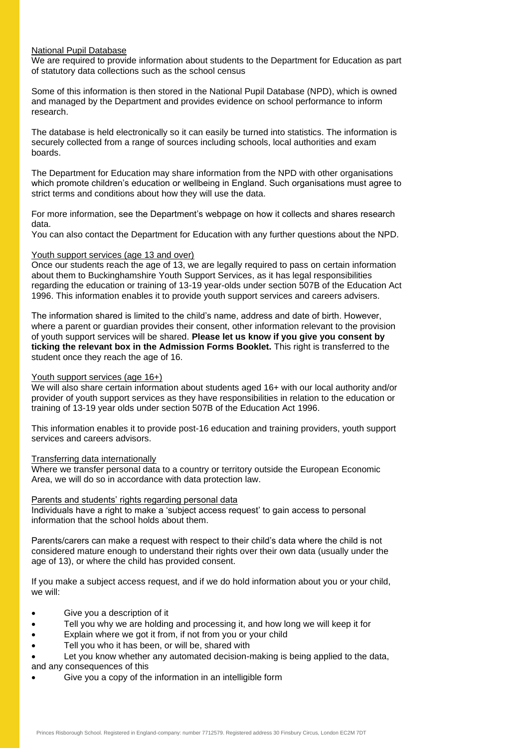#### National Pupil Database

We are required to provide information about students to the Department for Education as part of statutory data collections such as the school census

Some of this information is then stored in the National Pupil Database (NPD), which is owned and managed by the Department and provides evidence on school performance to inform research.

The database is held electronically so it can easily be turned into statistics. The information is securely collected from a range of sources including schools, local authorities and exam boards.

The Department for Education may share information from the NPD with other organisations which promote children's education or wellbeing in England. Such organisations must agree to strict terms and conditions about how they will use the data.

For more information, see the Department's webpage on how it collects and shares research data.

You can also contact the Department for Education with any further questions about the NPD.

# Youth support services (age 13 and over)

Once our students reach the age of 13, we are legally required to pass on certain information about them to Buckinghamshire Youth Support Services, as it has legal responsibilities regarding the education or training of 13-19 year-olds under section 507B of the Education Act 1996. This information enables it to provide youth support services and careers advisers.

The information shared is limited to the child's name, address and date of birth. However, where a parent or guardian provides their consent, other information relevant to the provision of youth support services will be shared. **Please let us know if you give you consent by ticking the relevant box in the Admission Forms Booklet.** This right is transferred to the student once they reach the age of 16.

# Youth support services (age 16+)

We will also share certain information about students aged 16+ with our local authority and/or provider of youth support services as they have responsibilities in relation to the education or training of 13-19 year olds under section 507B of the Education Act 1996.

This information enables it to provide post-16 education and training providers, youth support services and careers advisors.

# Transferring data internationally

Where we transfer personal data to a country or territory outside the European Economic Area, we will do so in accordance with data protection law.

# Parents and students' rights regarding personal data

Individuals have a right to make a 'subject access request' to gain access to personal information that the school holds about them.

Parents/carers can make a request with respect to their child's data where the child is not considered mature enough to understand their rights over their own data (usually under the age of 13), or where the child has provided consent.

If you make a subject access request, and if we do hold information about you or your child, we will:

- Give you a description of it
- Tell you why we are holding and processing it, and how long we will keep it for
- Explain where we got it from, if not from you or your child
- Tell you who it has been, or will be, shared with

Let you know whether any automated decision-making is being applied to the data,

and any consequences of this

• Give you a copy of the information in an intelligible form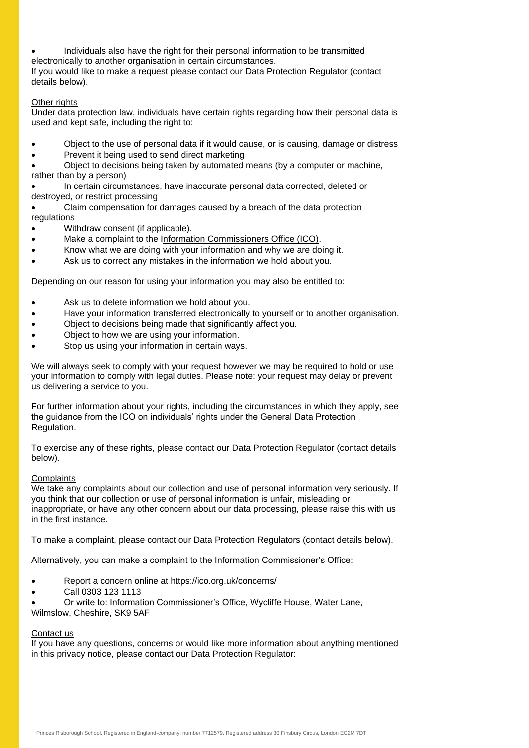• Individuals also have the right for their personal information to be transmitted electronically to another organisation in certain circumstances.

If you would like to make a request please contact our Data Protection Regulator (contact details below).

# Other rights

Under data protection law, individuals have certain rights regarding how their personal data is used and kept safe, including the right to:

- Object to the use of personal data if it would cause, or is causing, damage or distress
- Prevent it being used to send direct marketing

• Object to decisions being taken by automated means (by a computer or machine, rather than by a person)

• In certain circumstances, have inaccurate personal data corrected, deleted or destroyed, or restrict processing

- Claim compensation for damages caused by a breach of the data protection regulations
- Withdraw consent (if applicable).
- Make a complaint to the [Information Commissioners Office \(ICO\).](https://ico.org.uk/)
- Know what we are doing with your information and why we are doing it.
- Ask us to correct any mistakes in the information we hold about you.

Depending on our reason for using your information you may also be entitled to:

- Ask us to delete information we hold about you.
- Have your information transferred electronically to yourself or to another organisation.
- Object to decisions being made that significantly affect you.
- Object to how we are using your information.
- Stop us using your information in certain ways.

We will always seek to comply with your request however we may be required to hold or use your information to comply with legal duties. Please note: your request may delay or prevent us delivering a service to you.

For further information about your rights, including the circumstances in which they apply, see the guidance from the ICO on individuals' rights under the General Data Protection Regulation.

To exercise any of these rights, please contact our Data Protection Regulator (contact details below).

#### **Complaints**

We take any complaints about our collection and use of personal information very seriously. If you think that our collection or use of personal information is unfair, misleading or inappropriate, or have any other concern about our data processing, please raise this with us in the first instance.

To make a complaint, please contact our Data Protection Regulators (contact details below).

Alternatively, you can make a complaint to the Information Commissioner's Office:

- Report a concern online at https://ico.org.uk/concerns/
- Call 0303 123 1113

• Or write to: Information Commissioner's Office, Wycliffe House, Water Lane, Wilmslow, Cheshire, SK9 5AF

#### Contact us

If you have any questions, concerns or would like more information about anything mentioned in this privacy notice, please contact our Data Protection Regulator: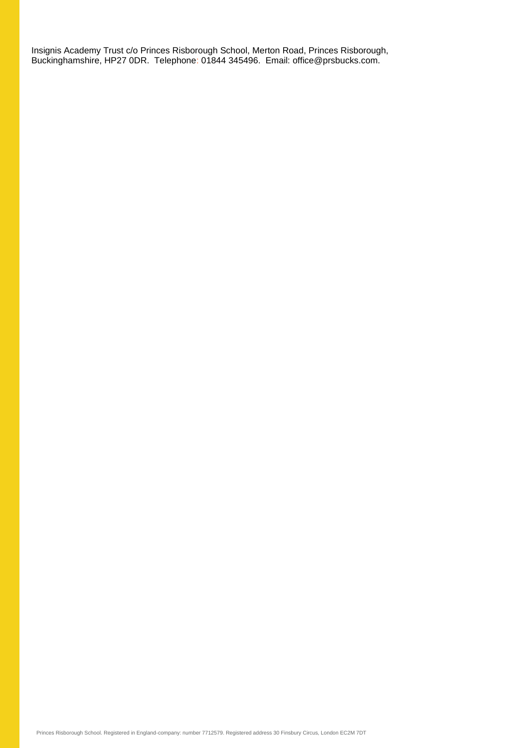Insignis Academy Trust c/o Princes Risborough School, Merton Road, Princes Risborough, Buckinghamshire, HP27 0DR. Telephone: 01844 345496. Email: office@prsbucks.com.